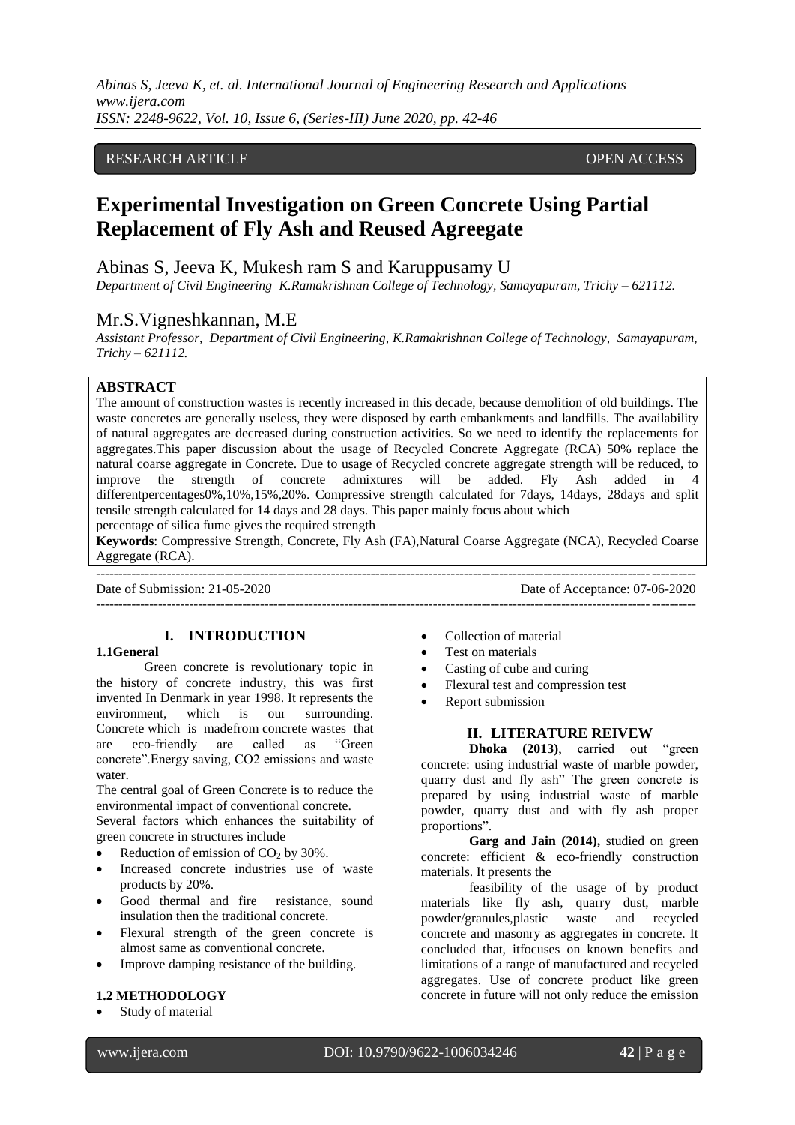*Abinas S, Jeeva K, et. al. International Journal of Engineering Research and Applications www.ijera.com ISSN: 2248-9622, Vol. 10, Issue 6, (Series-III) June 2020, pp. 42-46*

## RESEARCH ARTICLE OPEN ACCESS

# **Experimental Investigation on Green Concrete Using Partial Replacement of Fly Ash and Reused Agreegate**

# Abinas S, Jeeva K, Mukesh ram S and Karuppusamy U

*Department of Civil Engineering K.Ramakrishnan College of Technology, Samayapuram, Trichy – 621112.*

# Mr.S.Vigneshkannan, M.E

*Assistant Professor, Department of Civil Engineering, K.Ramakrishnan College of Technology, Samayapuram, Trichy – 621112.*

## **ABSTRACT**

The amount of construction wastes is recently increased in this decade, because demolition of old buildings. The waste concretes are generally useless, they were disposed by earth embankments and landfills. The availability of natural aggregates are decreased during construction activities. So we need to identify the replacements for aggregates.This paper discussion about the usage of Recycled Concrete Aggregate (RCA) 50% replace the natural coarse aggregate in Concrete. Due to usage of Recycled concrete aggregate strength will be reduced, to improve the strength of concrete admixtures will be added. Fly Ash added in differentpercentages0%,10%,15%,20%. Compressive strength calculated for 7days, 14days, 28days and split tensile strength calculated for 14 days and 28 days. This paper mainly focus about which

percentage of silica fume gives the required strength

**Keywords**: Compressive Strength, Concrete, Fly Ash (FA),Natural Coarse Aggregate (NCA), Recycled Coarse Aggregate (RCA).

---------------------------------------------------------------------------------------------------------------------------------------

---------------------------------------------------------------------------------------------------------------------------------------

### Date of Submission: 21-05-2020 Date of Acceptance: 07-06-2020

**I. INTRODUCTION**

#### **1.1General**

Green concrete is revolutionary topic in the history of concrete industry, this was first invented In Denmark in year 1998. It represents the environment, which is our surrounding. Concrete which is madefrom concrete wastes that are eco-friendly are called as "Green concrete".Energy saving, CO2 emissions and waste water.

The central goal of Green Concrete is to reduce the environmental impact of conventional concrete.

Several factors which enhances the suitability of green concrete in structures include

- Reduction of emission of  $CO<sub>2</sub>$  by 30%.
- Increased concrete industries use of waste products by 20%.
- Good thermal and fire resistance, sound insulation then the traditional concrete.
- Flexural strength of the green concrete is almost same as conventional concrete.
- Improve damping resistance of the building.

## **1.2 METHODOLOGY**

Study of material

- Collection of material
- Test on materials
- Casting of cube and curing
- Flexural test and compression test
- Report submission

#### **II. LITERATURE REIVEW**

**Dhoka (2013)**, carried out "green concrete: using industrial waste of marble powder, quarry dust and fly ash" The green concrete is prepared by using industrial waste of marble powder, quarry dust and with fly ash proper proportions".

**Garg and Jain (2014),** studied on green concrete: efficient & eco-friendly construction materials. It presents the

feasibility of the usage of by product materials like fly ash, quarry dust, marble powder/granules,plastic waste and recycled concrete and masonry as aggregates in concrete. It concluded that, itfocuses on known benefits and limitations of a range of manufactured and recycled aggregates. Use of concrete product like green concrete in future will not only reduce the emission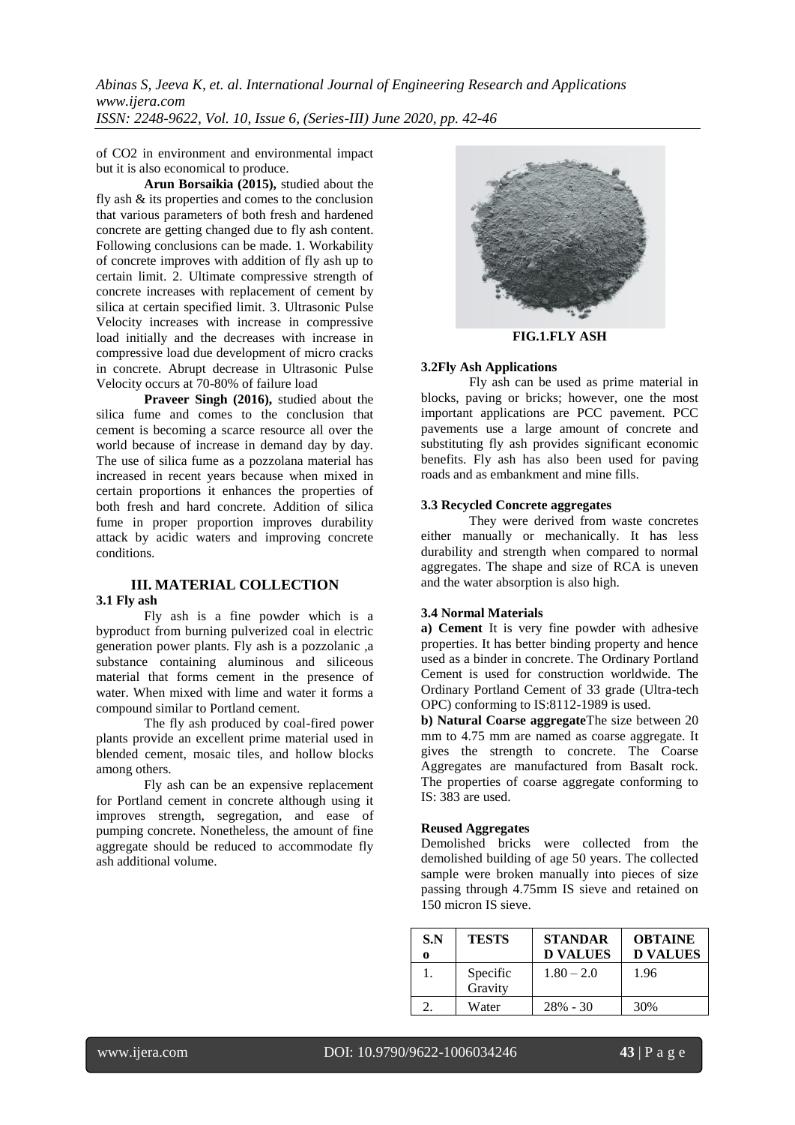*Abinas S, Jeeva K, et. al. International Journal of Engineering Research and Applications www.ijera.com ISSN: 2248-9622, Vol. 10, Issue 6, (Series-III) June 2020, pp. 42-46*

of CO2 in environment and environmental impact but it is also economical to produce.

**Arun Borsaikia (2015),** studied about the fly ash & its properties and comes to the conclusion that various parameters of both fresh and hardened concrete are getting changed due to fly ash content. Following conclusions can be made. 1. Workability of concrete improves with addition of fly ash up to certain limit. 2. Ultimate compressive strength of concrete increases with replacement of cement by silica at certain specified limit. 3. Ultrasonic Pulse Velocity increases with increase in compressive load initially and the decreases with increase in compressive load due development of micro cracks in concrete. Abrupt decrease in Ultrasonic Pulse Velocity occurs at 70-80% of failure load

**Praveer Singh (2016),** studied about the silica fume and comes to the conclusion that cement is becoming a scarce resource all over the world because of increase in demand day by day. The use of silica fume as a pozzolana material has increased in recent years because when mixed in certain proportions it enhances the properties of both fresh and hard concrete. Addition of silica fume in proper proportion improves durability attack by acidic waters and improving concrete conditions.

# **III. MATERIAL COLLECTION**

#### **3.1 Fly ash**

Fly ash is a fine powder which is a byproduct from burning pulverized coal in electric generation power plants. Fly ash is a pozzolanic ,a substance containing aluminous and siliceous material that forms cement in the presence of water. When mixed with lime and water it forms a compound similar to Portland cement.

The fly ash produced by coal-fired power plants provide an excellent prime material used in blended cement, mosaic tiles, and hollow blocks among others.

Fly ash can be an expensive replacement for Portland cement in concrete although using it improves strength, segregation, and ease of pumping concrete. Nonetheless, the amount of fine aggregate should be reduced to accommodate fly ash additional volume.



**FIG.1.FLY ASH**

#### **3.2Fly Ash Applications**

Fly ash can be used as prime material in blocks, paving or bricks; however, one the most important applications are PCC pavement. PCC pavements use a large amount of concrete and substituting fly ash provides significant economic benefits. Fly ash has also been used for paving roads and as embankment and mine fills.

## **3.3 Recycled Concrete aggregates**

They were derived from waste concretes either manually or mechanically. It has less durability and strength when compared to normal aggregates. The shape and size of RCA is uneven and the water absorption is also high.

### **3.4 Normal Materials**

**a) Cement** It is very fine powder with adhesive properties. It has better binding property and hence used as a binder in concrete. The Ordinary Portland Cement is used for construction worldwide. The Ordinary Portland Cement of 33 grade (Ultra-tech OPC) conforming to IS:8112-1989 is used.

**b) Natural Coarse aggregate**The size between 20 mm to 4.75 mm are named as coarse aggregate. It gives the strength to concrete. The Coarse Aggregates are manufactured from Basalt rock. The properties of coarse aggregate conforming to IS: 383 are used.

#### **Reused Aggregates**

Demolished bricks were collected from the demolished building of age 50 years. The collected sample were broken manually into pieces of size passing through 4.75mm IS sieve and retained on 150 micron IS sieve.

| S.N<br>0 | <b>TESTS</b>        | <b>STANDAR</b><br><b>D VALUES</b> | <b>OBTAINE</b><br><b>D VALUES</b> |
|----------|---------------------|-----------------------------------|-----------------------------------|
|          | Specific<br>Gravity | $1.80 - 2.0$                      | 1.96                              |
|          | Water               | $28\% - 30$                       | 30%                               |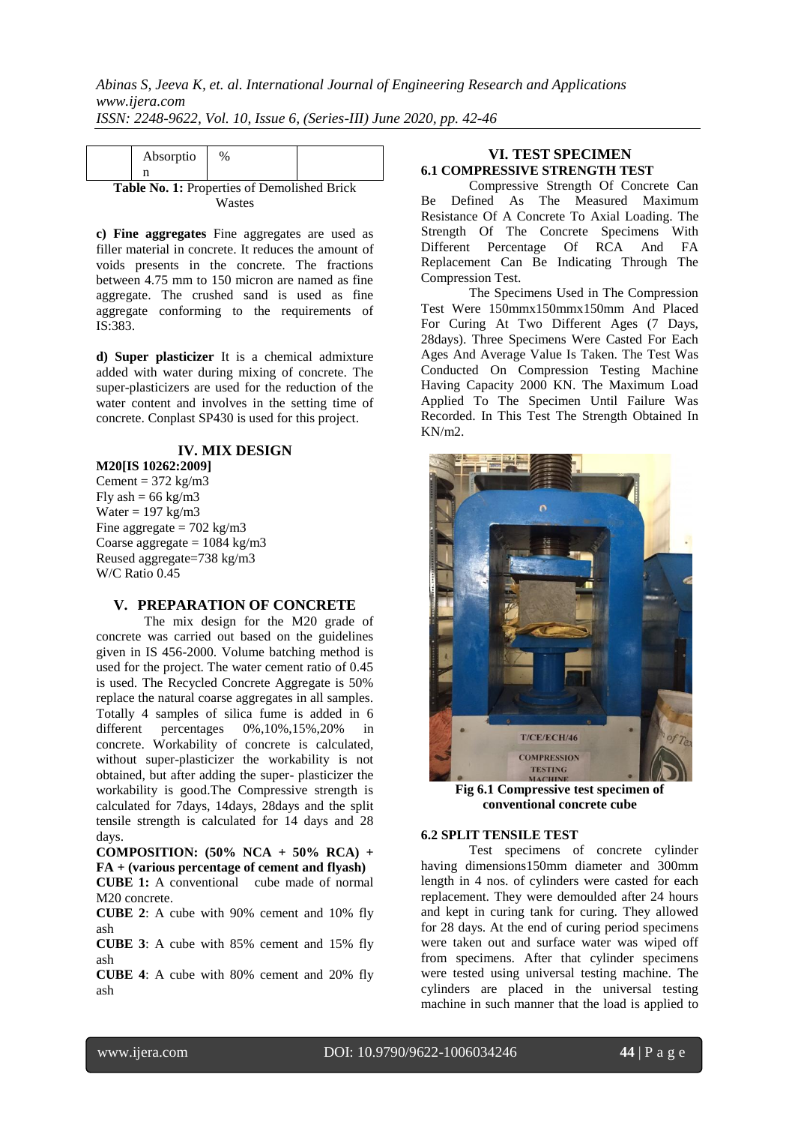|                                                    | Absorptio | $\%$ |  |  |  |
|----------------------------------------------------|-----------|------|--|--|--|
|                                                    |           |      |  |  |  |
| <b>Table No. 1: Properties of Demolished Brick</b> |           |      |  |  |  |
| Wastes                                             |           |      |  |  |  |

**c) Fine aggregates** Fine aggregates are used as filler material in concrete. It reduces the amount of voids presents in the concrete. The fractions between 4.75 mm to 150 micron are named as fine aggregate. The crushed sand is used as fine aggregate conforming to the requirements of IS:383.

**d) Super plasticizer** It is a chemical admixture added with water during mixing of concrete. The super-plasticizers are used for the reduction of the water content and involves in the setting time of concrete. Conplast SP430 is used for this project.

# **IV. MIX DESIGN**

**M20[IS 10262:2009]** Cement =  $372 \text{ kg/m}$ 3 Fly ash =  $66 \text{ kg/m}$ 3 Water =  $197 \text{ kg/m}$ 3 Fine aggregate  $= 702 \text{ kg/m}3$ Coarse aggregate  $= 1084 \text{ kg/m}3$ Reused aggregate=738 kg/m3 W/C Ratio 0.45

## **V. PREPARATION OF CONCRETE**

The mix design for the M20 grade of concrete was carried out based on the guidelines given in IS 456-2000. Volume batching method is used for the project. The water cement ratio of 0.45 is used. The Recycled Concrete Aggregate is 50% replace the natural coarse aggregates in all samples. Totally 4 samples of silica fume is added in 6<br>different percentages  $0\%, 10\%, 15\%, 20\%$  in 0%,10%,15%,20% in concrete. Workability of concrete is calculated, without super-plasticizer the workability is not obtained, but after adding the super- plasticizer the workability is good.The Compressive strength is calculated for 7days, 14days, 28days and the split tensile strength is calculated for 14 days and 28 days.

**COMPOSITION: (50% NCA + 50% RCA) + FA + (various percentage of cement and flyash) CUBE 1:** A conventional cube made of normal M20 concrete.

**CUBE 2**: A cube with 90% cement and 10% fly ash

**CUBE 3**: A cube with 85% cement and 15% fly ash

**CUBE 4**: A cube with 80% cement and 20% fly ash

# **VI. TEST SPECIMEN 6.1 COMPRESSIVE STRENGTH TEST**

Compressive Strength Of Concrete Can Be Defined As The Measured Maximum Resistance Of A Concrete To Axial Loading. The Strength Of The Concrete Specimens With Different Percentage Of RCA And FA Replacement Can Be Indicating Through The Compression Test.

The Specimens Used in The Compression Test Were 150mmx150mmx150mm And Placed For Curing At Two Different Ages (7 Days, 28days). Three Specimens Were Casted For Each Ages And Average Value Is Taken. The Test Was Conducted On Compression Testing Machine Having Capacity 2000 KN. The Maximum Load Applied To The Specimen Until Failure Was Recorded. In This Test The Strength Obtained In KN/m2.



**Fig 6.1 Compressive test specimen of conventional concrete cube**

## **6.2 SPLIT TENSILE TEST**

Test specimens of concrete cylinder having dimensions150mm diameter and 300mm length in 4 nos. of cylinders were casted for each replacement. They were demoulded after 24 hours and kept in curing tank for curing. They allowed for 28 days. At the end of curing period specimens were taken out and surface water was wiped off from specimens. After that cylinder specimens were tested using universal testing machine. The cylinders are placed in the universal testing machine in such manner that the load is applied to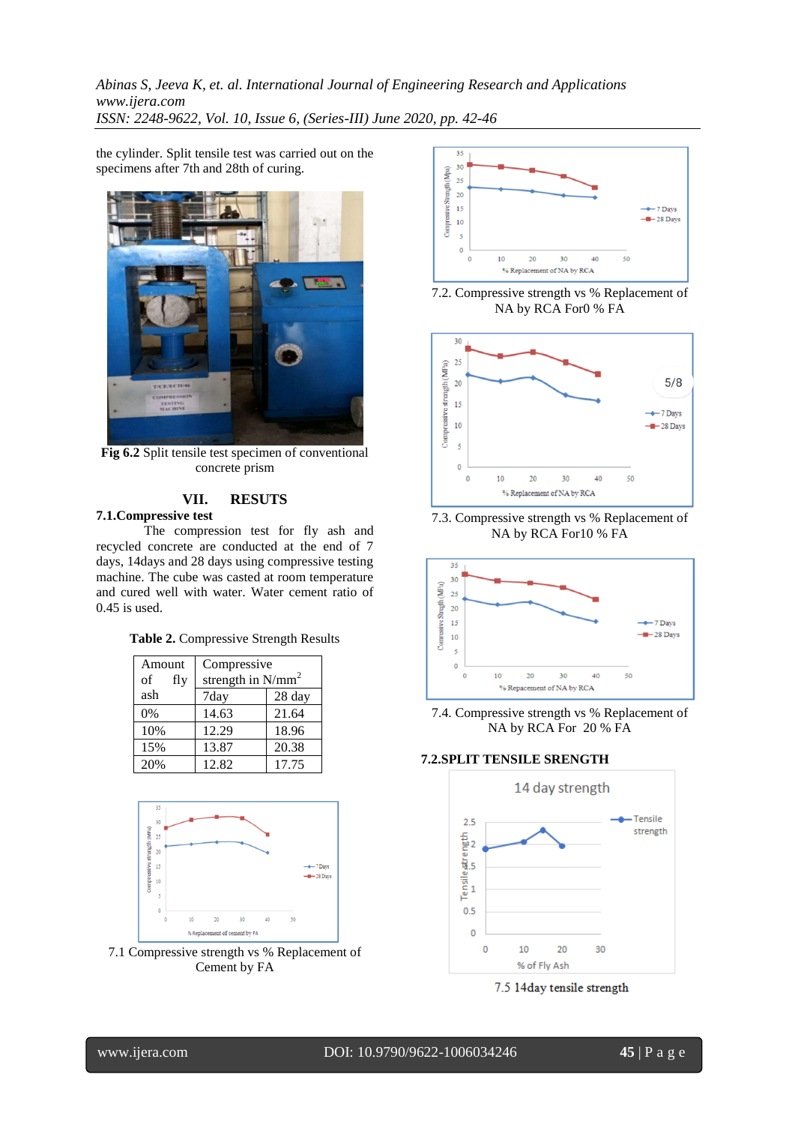*Abinas S, Jeeva K, et. al. International Journal of Engineering Research and Applications www.ijera.com ISSN: 2248-9622, Vol. 10, Issue 6, (Series-III) June 2020, pp. 42-46*

the cylinder. Split tensile test was carried out on the specimens after 7th and 28th of curing.



**Fig 6.2** Split tensile test specimen of conventional concrete prism

# **VII. RESUTS**

# **7.1.Compressive test**

The compression test for fly ash and recycled concrete are conducted at the end of 7 days, 14days and 28 days using compressive testing machine. The cube was casted at room temperature and cured well with water. Water cement ratio of 0.45 is used.

|  | Table 2. Compressive Strength Results |  |  |
|--|---------------------------------------|--|--|
|--|---------------------------------------|--|--|

| Amount<br>of<br>fly | Compressive<br>strength in $N/mm^2$ |        |  |
|---------------------|-------------------------------------|--------|--|
| ash                 | 7day                                | 28 day |  |
| 0%                  | 14.63                               | 21.64  |  |
| 10%                 | 12.29                               | 18.96  |  |
| 15%                 | 13.87                               | 20.38  |  |
| 20%                 | 12.82                               | 17.75  |  |



7.1 Compressive strength vs % Replacement of Cement by FA



7.2. Compressive strength vs % Replacement of NA by RCA For0 % FA



7.3. Compressive strength vs % Replacement of NA by RCA For10 % FA



7.4. Compressive strength vs % Replacement of NA by RCA For 20 % FA

## **7.2.SPLIT TENSILE SRENGTH**



7.5 14day tensile strength